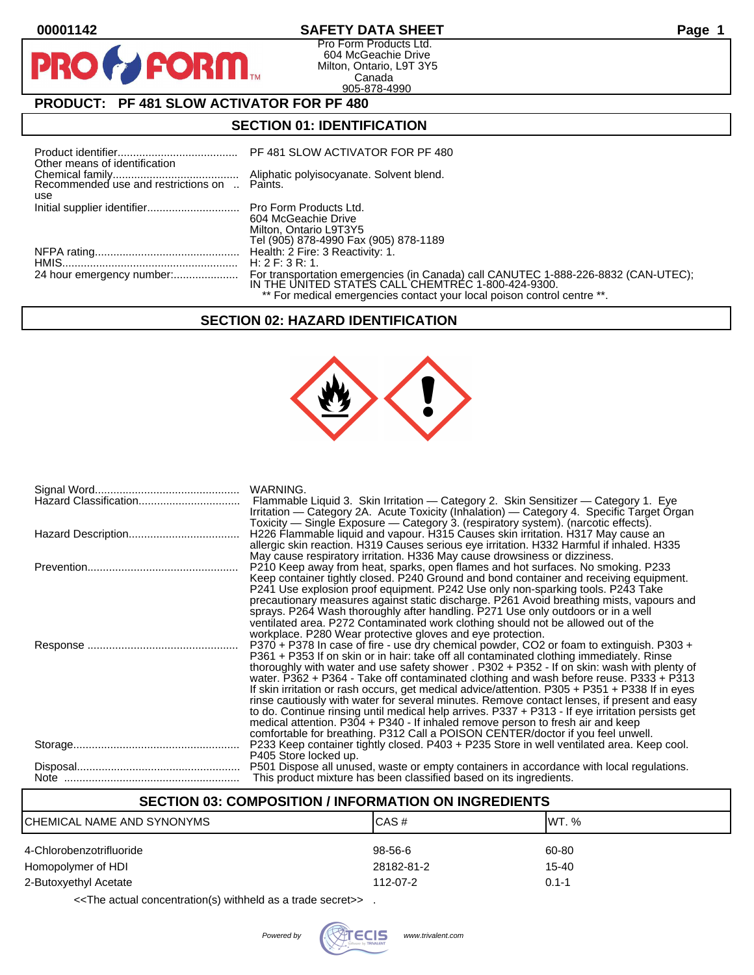**PI** 

## **00001142 SAFETY DATA SHEET Page 1**

Pro Form Products Ltd. 604 McGeachie Drive Milton, Ontario, L9T 3Y5 Canada 905-878-4990

# **PRODUCT: PF 481 SLOW ACTIVATOR FOR PF 480**

FORM<sub>M</sub>

## **SECTION 01: IDENTIFICATION**

| Other means of identification                       |                                                                                                                                          |
|-----------------------------------------------------|------------------------------------------------------------------------------------------------------------------------------------------|
| Recommended use and restrictions on  Paints.<br>use |                                                                                                                                          |
|                                                     | 604 McGeachie Drive                                                                                                                      |
|                                                     | Milton, Ontario L9T3Y5<br>Tel (905) 878-4990 Fax (905) 878-1189                                                                          |
|                                                     |                                                                                                                                          |
|                                                     | H: $2$ F: $3$ R: 1.                                                                                                                      |
|                                                     | For transportation emergencies (in Canada) call CANUTEC 1-888-226-8832 (CAN-UTEC);<br>IN THE UNITED STATES CALL CHEMTREC 1-800-424-9300. |
|                                                     | ** For medical emergencies contact your local poison control centre **.                                                                  |

## **SECTION 02: HAZARD IDENTIFICATION**



| WARNING.<br>Flammable Liquid 3. Skin Irritation — Category 2. Skin Sensitizer — Category 1. Eye<br>Irritation — Category 2A. Acute Toxicity (Inhalation) — Category 4. Specific Target Organ<br>Toxicity — Single Exposure — Category 3. (respiratory system). (narcotic effects).                                                                                                                                                                                                                                                                                                                                                                                                                                                                                                                                                                       |
|----------------------------------------------------------------------------------------------------------------------------------------------------------------------------------------------------------------------------------------------------------------------------------------------------------------------------------------------------------------------------------------------------------------------------------------------------------------------------------------------------------------------------------------------------------------------------------------------------------------------------------------------------------------------------------------------------------------------------------------------------------------------------------------------------------------------------------------------------------|
| H226 Flammable liquid and vapour. H315 Causes skin irritation. H317 May cause an<br>allergic skin reaction. H319 Causes serious eye irritation. H332 Harmful if inhaled. H335<br>May cause respiratory irritation. H336 May cause drowsiness or dizziness.                                                                                                                                                                                                                                                                                                                                                                                                                                                                                                                                                                                               |
| P210 Keep away from heat, sparks, open flames and hot surfaces. No smoking. P233<br>Keep container tightly closed. P240 Ground and bond container and receiving equipment.<br>P241 Use explosion proof equipment. P242 Use only non-sparking tools. P243 Take<br>precautionary measures against static discharge. P261 Avoid breathing mists, vapours and<br>sprays. P264 Wash thoroughly after handling. P271 Use only outdoors or in a well<br>ventilated area. P272 Contaminated work clothing should not be allowed out of the<br>workplace. P280 Wear protective gloves and eye protection.                                                                                                                                                                                                                                                         |
| P370 + P378 In case of fire - use dry chemical powder, CO2 or foam to extinguish. P303 +<br>P361 + P353 If on skin or in hair: take off all contaminated clothing immediately. Rinse<br>thoroughly with water and use safety shower . P302 + P352 - If on skin: wash with plenty of<br>water. P362 + P364 - Take off contaminated clothing and wash before reuse. P333 + P313<br>If skin irritation or rash occurs, get medical advice/attention. P305 + P351 + P338 If in eyes<br>rinse cautiously with water for several minutes. Remove contact lenses, if present and easy<br>to do. Continue rinsing until medical help arrives. P337 + P313 - If eye irritation persists get<br>medical attention. P304 + P340 - If inhaled remove person to fresh air and keep<br>comfortable for breathing. P312 Call a POISON CENTER/doctor if you feel unwell. |
| P233 Keep container tightly closed. P403 + P235 Store in well ventilated area. Keep cool.<br>P405 Store locked up.                                                                                                                                                                                                                                                                                                                                                                                                                                                                                                                                                                                                                                                                                                                                       |
| P501 Dispose all unused, waste or empty containers in accordance with local regulations.<br>This product mixture has been classified based on its ingredients.                                                                                                                                                                                                                                                                                                                                                                                                                                                                                                                                                                                                                                                                                           |

| <b>SECTION 03: COMPOSITION / INFORMATION ON INGREDIENTS</b> |            |           |  |
|-------------------------------------------------------------|------------|-----------|--|
| CHEMICAL NAME AND SYNONYMS                                  | ICAS#      | IWT. %    |  |
| 4-Chlorobenzotrifluoride                                    | 98-56-6    | 60-80     |  |
| Homopolymer of HDI                                          | 28182-81-2 | $15 - 40$ |  |
| 2-Butoxyethyl Acetate                                       | 112-07-2   | $0.1 - 1$ |  |
|                                                             |            |           |  |

<<The actual concentration(s) withheld as a trade secret>> .

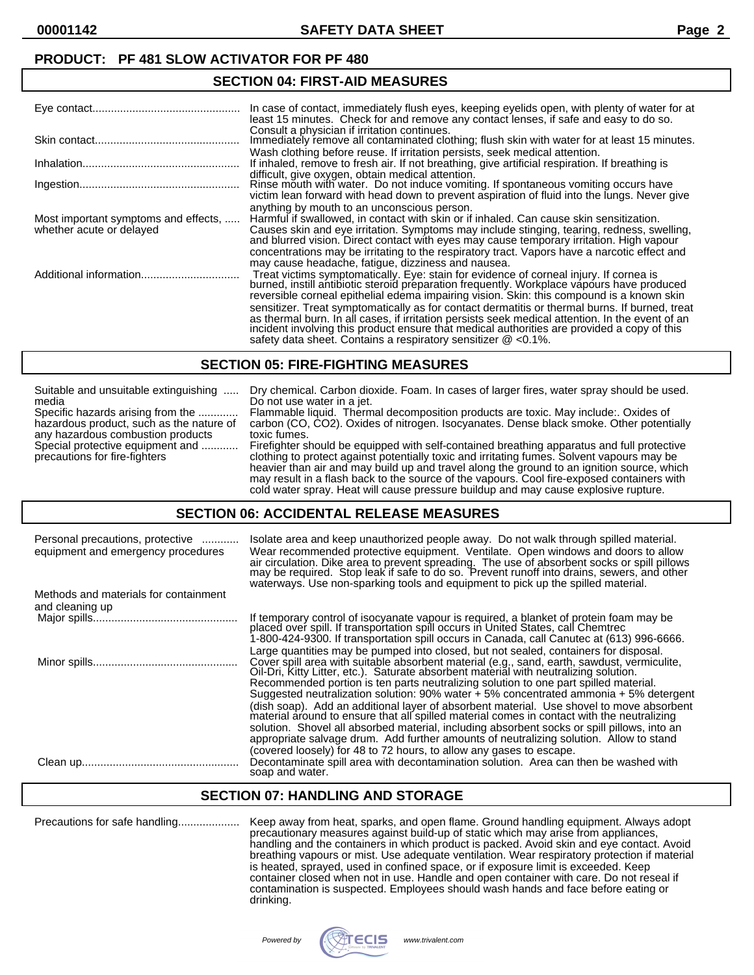**00001142 SAFETY DATA SHEET Page 2**

### **PRODUCT: PF 481 SLOW ACTIVATOR FOR PF 480**

#### **SECTION 04: FIRST-AID MEASURES**

|                                                                  | In case of contact, immediately flush eyes, keeping eyelids open, with plenty of water for at<br>least 15 minutes. Check for and remove any contact lenses, if safe and easy to do so.<br>Consult a physician if irritation continues.                                                                                                                                                                                                  |
|------------------------------------------------------------------|-----------------------------------------------------------------------------------------------------------------------------------------------------------------------------------------------------------------------------------------------------------------------------------------------------------------------------------------------------------------------------------------------------------------------------------------|
|                                                                  | Immediately remove all contaminated clothing; flush skin with water for at least 15 minutes.                                                                                                                                                                                                                                                                                                                                            |
|                                                                  | Wash clothing before reuse. If irritation persists, seek medical attention.<br>If inhaled, remove to fresh air. If not breathing, give artificial respiration. If breathing is                                                                                                                                                                                                                                                          |
|                                                                  | difficult, give oxygen, obtain medical attention.<br>Rinse mouth with water. Do not induce vomiting. If spontaneous vomiting occurs have<br>victim lean forward with head down to prevent aspiration of fluid into the lungs. Never give                                                                                                                                                                                                |
| Most important symptoms and effects,<br>whether acute or delayed | anything by mouth to an unconscious person.<br>Harmful if swallowed, in contact with skin or if inhaled. Can cause skin sensitization.<br>Causes skin and eye irritation. Symptoms may include stinging, tearing, redness, swelling,<br>and blurred vision. Direct contact with eyes may cause temporary irritation. High vapour                                                                                                        |
|                                                                  | concentrations may be irritating to the respiratory tract. Vapors have a narcotic effect and<br>may cause headache, fatigue, dizziness and nausea.<br>Treat victims symptomatically. Eye: stain for evidence of corneal injury. If cornea is<br>burned, instill antibiotic steroid preparation frequently. Workplace vapours have produced<br>reversible corneal epithelial edema impairing vision. Skin: this compound is a known skin |
|                                                                  | sensitizer. Treat symptomatically as for contact dermatitis or thermal burns. If burned, treat<br>as thermal burn. In all cases, if irritation persists seek medical attention. In the event of an<br>incident involving this product ensure that medical authorities are provided a copy of this<br>safety data sheet. Contains a respiratory sensitizer $\omega$ <0.1%.                                                               |

#### **SECTION 05: FIRE-FIGHTING MEASURES**

| Suitable and unsuitable extinguishing    | Dry chemical. Carbon dioxide. Foam. In cases of larger fires, water spray should be used.                                                                                                                                                                                                                                                                                     |
|------------------------------------------|-------------------------------------------------------------------------------------------------------------------------------------------------------------------------------------------------------------------------------------------------------------------------------------------------------------------------------------------------------------------------------|
| media                                    | Do not use water in a jet.                                                                                                                                                                                                                                                                                                                                                    |
| Specific hazards arising from the        | Flammable liquid. Thermal decomposition products are toxic. May include:. Oxides of                                                                                                                                                                                                                                                                                           |
| hazardous product, such as the nature of | carbon (CO, CO2). Oxides of nitrogen. Isocyanates. Dense black smoke. Other potentially                                                                                                                                                                                                                                                                                       |
| any hazardous combustion products        | toxic fumes.                                                                                                                                                                                                                                                                                                                                                                  |
| Special protective equipment and         | Firefighter should be equipped with self-contained breathing apparatus and full protective                                                                                                                                                                                                                                                                                    |
| precautions for fire-fighters            | clothing to protect against potentially toxic and irritating fumes. Solvent vapours may be<br>heavier than air and may build up and travel along the ground to an ignition source, which<br>may result in a flash back to the source of the vapours. Cool fire-exposed containers with<br>cold water spray. Heat will cause pressure buildup and may cause explosive rupture. |

#### **SECTION 06: ACCIDENTAL RELEASE MEASURES**

| Personal precautions, protective<br>equipment and emergency procedures | Isolate area and keep unauthorized people away. Do not walk through spilled material.<br>Wear recommended protective equipment. Ventilate. Open windows and doors to allow<br>air circulation. Dike area to prevent spreading. The use of absorbent socks or spill pillows may be required. Stop leak if safe to do so. Prevent runoff into drains, sewers, and other<br>waterways. Use non-sparking tools and equipment to pick up the spilled material.                                                                                                                                                                                                                                                                                                                                                                                           |
|------------------------------------------------------------------------|-----------------------------------------------------------------------------------------------------------------------------------------------------------------------------------------------------------------------------------------------------------------------------------------------------------------------------------------------------------------------------------------------------------------------------------------------------------------------------------------------------------------------------------------------------------------------------------------------------------------------------------------------------------------------------------------------------------------------------------------------------------------------------------------------------------------------------------------------------|
| Methods and materials for containment<br>and cleaning up               |                                                                                                                                                                                                                                                                                                                                                                                                                                                                                                                                                                                                                                                                                                                                                                                                                                                     |
|                                                                        | If temporary control of isocyanate vapour is required, a blanket of protein foam may be<br>placed over spill. If transportation spill occurs in United States, call Chemtrec<br>1-800-424-9300. If transportation spill occurs in Canada, call Canutec at (613) 996-6666.                                                                                                                                                                                                                                                                                                                                                                                                                                                                                                                                                                           |
|                                                                        | Large quantities may be pumped into closed, but not sealed, containers for disposal.<br>Cover spill area with suitable absorbent material (e.g., sand, earth, sawdust, vermiculite,<br>Oil-Dri, Kitty Litter, etc.). Saturate absorbent material with neutralizing solution.<br>Recommended portion is ten parts neutralizing solution to one part spilled material.<br>Suggested neutralization solution: $90\%$ water + 5% concentrated ammonia + 5% detergent<br>(dish soap). Add an additional layer of absorbent material. Use shovel to move absorbent<br>material around to ensure that all spilled material comes in contact with the neutralizing<br>solution. Shovel all absorbed material, including absorbent socks or spill pillows, into an<br>appropriate salvage drum. Add further amounts of neutralizing solution. Allow to stand |
|                                                                        | (covered loosely) for 48 to 72 hours, to allow any gases to escape.<br>Decontaminate spill area with decontamination solution. Area can then be washed with<br>soap and water.                                                                                                                                                                                                                                                                                                                                                                                                                                                                                                                                                                                                                                                                      |

### **SECTION 07: HANDLING AND STORAGE**

Precautions for safe handling.................... Keep away from heat, sparks, and open flame. Ground handling equipment. Always adopt precautionary measures against build-up of static which may arise from appliances, handling and the containers in which product is packed. Avoid skin and eye contact. Avoid breathing vapours or mist. Use adequate ventilation. Wear respiratory protection if material is heated, sprayed, used in confined space, or if exposure limit is exceeded. Keep container closed when not in use. Handle and open container with care. Do not reseal if contamination is suspected. Employees should wash hands and face before eating or drinking.

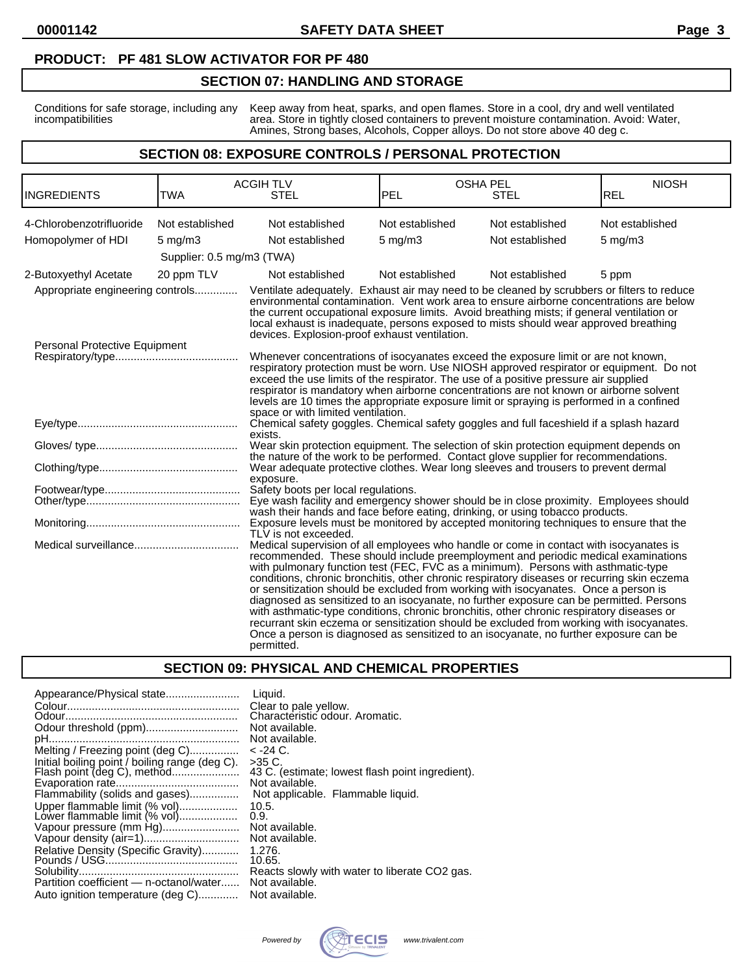#### **PRODUCT: PF 481 SLOW ACTIVATOR FOR PF 480**

#### **SECTION 07: HANDLING AND STORAGE**

Conditions for safe storage, including any Keep away from heat, sparks, and open flames. Store in a cool, dry and well ventilated incompatibilities area. Store in tightly closed containers to prevent moisture contamination. Avoid: Water, Amines, Strong bases, Alcohols, Copper alloys. Do not store above 40 deg c.

#### **SECTION 08: EXPOSURE CONTROLS / PERSONAL PROTECTION**

| <b>INGREDIENTS</b>               | <b>TWA</b>                | <b>ACGIH TLV</b><br><b>STEL</b>                                                                                                                                                                                                                                                                                                                                                                                                                                                                                                                                                                                                                                                                                                                                                                                                                   | <b>OSHA PEL</b><br><b>PEL</b> | <b>STEL</b>     | <b>NIOSH</b><br><b>REL</b> |
|----------------------------------|---------------------------|---------------------------------------------------------------------------------------------------------------------------------------------------------------------------------------------------------------------------------------------------------------------------------------------------------------------------------------------------------------------------------------------------------------------------------------------------------------------------------------------------------------------------------------------------------------------------------------------------------------------------------------------------------------------------------------------------------------------------------------------------------------------------------------------------------------------------------------------------|-------------------------------|-----------------|----------------------------|
| 4-Chlorobenzotrifluoride         | Not established           | Not established                                                                                                                                                                                                                                                                                                                                                                                                                                                                                                                                                                                                                                                                                                                                                                                                                                   | Not established               | Not established | Not established            |
| Homopolymer of HDI               | $5 \text{ mg/m}$ 3        | Not established                                                                                                                                                                                                                                                                                                                                                                                                                                                                                                                                                                                                                                                                                                                                                                                                                                   | $5$ mg/m $3$                  | Not established | $5$ mg/m $3$               |
|                                  | Supplier: 0.5 mg/m3 (TWA) |                                                                                                                                                                                                                                                                                                                                                                                                                                                                                                                                                                                                                                                                                                                                                                                                                                                   |                               |                 |                            |
| 2-Butoxyethyl Acetate            | 20 ppm TLV                | Not established                                                                                                                                                                                                                                                                                                                                                                                                                                                                                                                                                                                                                                                                                                                                                                                                                                   | Not established               | Not established | 5 ppm                      |
| Appropriate engineering controls |                           | Ventilate adequately. Exhaust air may need to be cleaned by scrubbers or filters to reduce<br>environmental contamination. Vent work area to ensure airborne concentrations are below<br>the current occupational exposure limits. Avoid breathing mists; if general ventilation or<br>local exhaust is inadequate, persons exposed to mists should wear approved breathing<br>devices. Explosion-proof exhaust ventilation.                                                                                                                                                                                                                                                                                                                                                                                                                      |                               |                 |                            |
| Personal Protective Equipment    |                           | Whenever concentrations of isocyanates exceed the exposure limit or are not known,<br>respiratory protection must be worn. Use NIOSH approved respirator or equipment. Do not<br>exceed the use limits of the respirator. The use of a positive pressure air supplied<br>respirator is mandatory when airborne concentrations are not known or airborne solvent<br>levels are 10 times the appropriate exposure limit or spraying is performed in a confined<br>space or with limited ventilation.                                                                                                                                                                                                                                                                                                                                                |                               |                 |                            |
|                                  |                           | Chemical safety goggles. Chemical safety goggles and full faceshield if a splash hazard                                                                                                                                                                                                                                                                                                                                                                                                                                                                                                                                                                                                                                                                                                                                                           |                               |                 |                            |
|                                  |                           | exists.<br>Wear skin protection equipment. The selection of skin protection equipment depends on<br>the nature of the work to be performed. Contact glove supplier for recommendations.                                                                                                                                                                                                                                                                                                                                                                                                                                                                                                                                                                                                                                                           |                               |                 |                            |
|                                  |                           | Wear adequate protective clothes. Wear long sleeves and trousers to prevent dermal<br>exposure.                                                                                                                                                                                                                                                                                                                                                                                                                                                                                                                                                                                                                                                                                                                                                   |                               |                 |                            |
|                                  |                           | Safety boots per local regulations.<br>Eye wash facility and emergency shower should be in close proximity. Employees should<br>wash their hands and face before eating, drinking, or using tobacco products.                                                                                                                                                                                                                                                                                                                                                                                                                                                                                                                                                                                                                                     |                               |                 |                            |
|                                  |                           | Exposure levels must be monitored by accepted monitoring techniques to ensure that the<br>TLV is not exceeded.                                                                                                                                                                                                                                                                                                                                                                                                                                                                                                                                                                                                                                                                                                                                    |                               |                 |                            |
|                                  |                           | Medical supervision of all employees who handle or come in contact with isocyanates is<br>recommended. These should include preemployment and periodic medical examinations<br>with pulmonary function test (FEC, FVC as a minimum). Persons with asthmatic-type<br>conditions, chronic bronchitis, other chronic respiratory diseases or recurring skin eczema<br>or sensitization should be excluded from working with isocyanates. Once a person is<br>diagnosed as sensitized to an isocyanate, no further exposure can be permitted. Persons<br>with asthmatic-type conditions, chronic bronchitis, other chronic respiratory diseases or<br>recurrant skin eczema or sensitization should be excluded from working with isocyanates.<br>Once a person is diagnosed as sensitized to an isocyanate, no further exposure can be<br>permitted. |                               |                 |                            |

#### **SECTION 09: PHYSICAL AND CHEMICAL PROPERTIES**

| Appearance/Physical state                                                                                                                                                               | Liquid.<br>Clear to pale yellow.<br>Characteristic odour. Aromatic.<br>Not available.<br>Not available.                                            |
|-----------------------------------------------------------------------------------------------------------------------------------------------------------------------------------------|----------------------------------------------------------------------------------------------------------------------------------------------------|
| Melting / Freezing point (deg C)<br>Initial boiling point / boiling range (deg C).<br>Flammability (solids and gases)<br>Upper flammable limit (% vol)<br>Lower flammable limit (% vol) | $<-24C$ .<br>$>35 C$ .<br>43 C. (estimate; lowest flash point ingredient).<br>Not available.<br>Not applicable. Flammable liquid.<br>10.5.<br>0.9. |
| Vapour pressure (mm Hg)<br>Relative Density (Specific Gravity)<br>Partition coefficient - n-octanol/water<br>Auto ignition temperature (deg C)                                          | Not available.<br>Not available.<br>1.276.<br>10.65.<br>Reacts slowly with water to liberate CO2 gas.<br>Not available.<br>Not available.          |

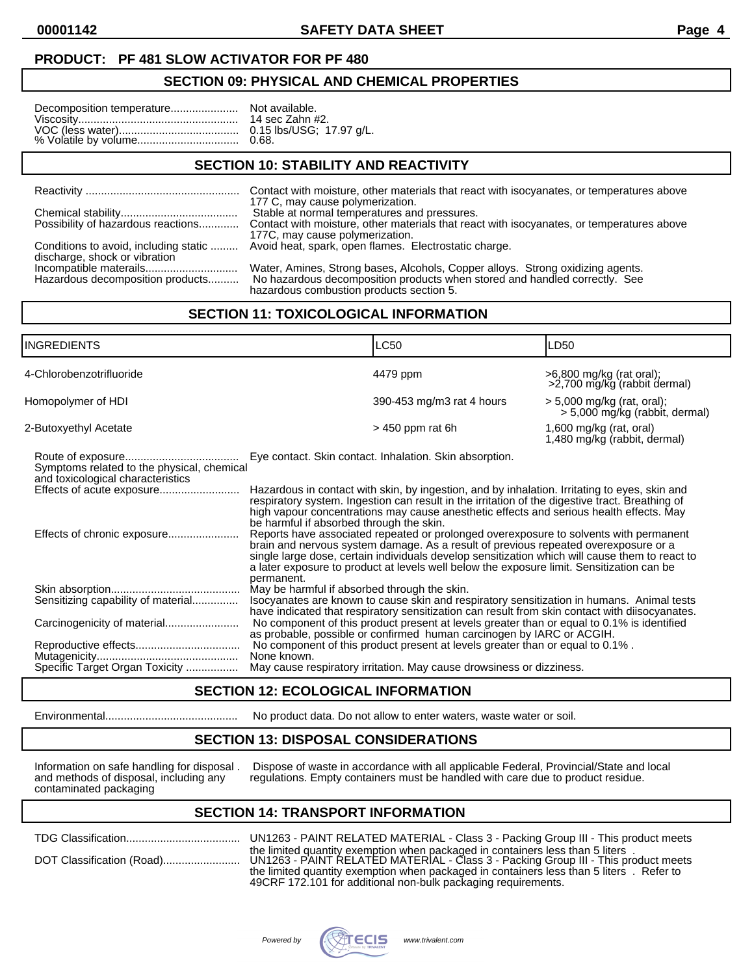**00001142 SAFETY DATA SHEET Page 4**

#### **PRODUCT: PF 481 SLOW ACTIVATOR FOR PF 480**

#### **SECTION 09: PHYSICAL AND CHEMICAL PROPERTIES**

### **SECTION 10: STABILITY AND REACTIVITY**

|                                    | 177 C, may cause polymerization.                                                                                                                                                                           |
|------------------------------------|------------------------------------------------------------------------------------------------------------------------------------------------------------------------------------------------------------|
|                                    | Stable at normal temperatures and pressures.                                                                                                                                                               |
| Possibility of hazardous reactions | Contact with moisture, other materials that react with isocyanates, or temperatures above<br>177C, may cause polymerization.                                                                               |
| discharge, shock or vibration      | Conditions to avoid, including static  Avoid heat, spark, open flames. Electrostatic charge.                                                                                                               |
| Hazardous decomposition products   | Water, Amines, Strong bases, Alcohols, Copper alloys. Strong oxidizing agents.<br>No hazardous decomposition products when stored and handled correctly. See<br>besar deus een bustien naadvate eestien. E |

hazardous combustion products section 5. **SECTION 11: TOXICOLOGICAL INFORMATION**

| <b>INGREDIENTS</b>                                                                                           |                                                                                                                                                                                                                                                                                                                                                                                                                                                                                                                   | LC50                                                                                                                                                                                                                                                                                                                                                                                                                                                                                                                                                                                                                                                                                                                                  | LD50                                                           |
|--------------------------------------------------------------------------------------------------------------|-------------------------------------------------------------------------------------------------------------------------------------------------------------------------------------------------------------------------------------------------------------------------------------------------------------------------------------------------------------------------------------------------------------------------------------------------------------------------------------------------------------------|---------------------------------------------------------------------------------------------------------------------------------------------------------------------------------------------------------------------------------------------------------------------------------------------------------------------------------------------------------------------------------------------------------------------------------------------------------------------------------------------------------------------------------------------------------------------------------------------------------------------------------------------------------------------------------------------------------------------------------------|----------------------------------------------------------------|
| 4-Chlorobenzotrifluoride                                                                                     |                                                                                                                                                                                                                                                                                                                                                                                                                                                                                                                   | 4479 ppm                                                                                                                                                                                                                                                                                                                                                                                                                                                                                                                                                                                                                                                                                                                              | >6,800 mg/kg (rat oral);<br>>2,700 mg/kg (rabbit dermal)       |
| Homopolymer of HDI                                                                                           |                                                                                                                                                                                                                                                                                                                                                                                                                                                                                                                   | 390-453 mg/m3 rat 4 hours                                                                                                                                                                                                                                                                                                                                                                                                                                                                                                                                                                                                                                                                                                             | $> 5,000$ mg/kg (rat, oral);<br>> 5,000 mg/kg (rabbit, dermal) |
| 2-Butoxyethyl Acetate                                                                                        |                                                                                                                                                                                                                                                                                                                                                                                                                                                                                                                   | $>$ 450 ppm rat 6h                                                                                                                                                                                                                                                                                                                                                                                                                                                                                                                                                                                                                                                                                                                    | 1,600 mg/kg (rat, oral)<br>1,480 mg/kg (rabbit, dermal)        |
| Symptoms related to the physical, chemical<br>and toxicological characteristics<br>Effects of acute exposure | be harmful if absorbed through the skin.                                                                                                                                                                                                                                                                                                                                                                                                                                                                          | Eye contact. Skin contact. Inhalation. Skin absorption.<br>Hazardous in contact with skin, by ingestion, and by inhalation. Irritating to eyes, skin and<br>respiratory system. Ingestion can result in the irritation of the digestive tract. Breathing of<br>high vapour concentrations may cause anesthetic effects and serious health effects. May<br>Reports have associated repeated or prolonged overexposure to solvents with permanent<br>brain and nervous system damage. As a result of previous repeated overexposure or a<br>single large dose, certain individuals develop sensitization which will cause them to react to<br>a later exposure to product at levels well below the exposure limit. Sensitization can be |                                                                |
| Sensitizing capability of material<br>Carcinogenicity of material                                            | permanent.<br>May be harmful if absorbed through the skin.<br>Isocyanates are known to cause skin and respiratory sensitization in humans. Animal tests<br>have indicated that respiratory sensitization can result from skin contact with diisocyanates.<br>No component of this product present at levels greater than or equal to 0.1% is identified<br>as probable, possible or confirmed human carcinogen by IARC or ACGIH.<br>No component of this product present at levels greater than or equal to 0.1%. |                                                                                                                                                                                                                                                                                                                                                                                                                                                                                                                                                                                                                                                                                                                                       |                                                                |
| Specific Target Organ Toxicity                                                                               | None known.                                                                                                                                                                                                                                                                                                                                                                                                                                                                                                       | May cause respiratory irritation. May cause drowsiness or dizziness.                                                                                                                                                                                                                                                                                                                                                                                                                                                                                                                                                                                                                                                                  |                                                                |

### **SECTION 12: ECOLOGICAL INFORMATION**

Environmental........................................... No product data. Do not allow to enter waters, waste water or soil.

### **SECTION 13: DISPOSAL CONSIDERATIONS**

contaminated packaging

Information on safe handling for disposal . Dispose of waste in accordance with all applicable Federal, Provincial/State and local and methods of disposal, including any regulations. Empty containers must be handled with c regulations. Empty containers must be handled with care due to product residue.

## **SECTION 14: TRANSPORT INFORMATION**

| UN1263 - PAINT RELATED MATERIAL - Class 3 - Packing Group III - This product meets                                                                                                                                                                                                                                               |
|----------------------------------------------------------------------------------------------------------------------------------------------------------------------------------------------------------------------------------------------------------------------------------------------------------------------------------|
| the limited quantity exemption when packaged in containers less than 5 liters.<br>UN1263 - PAINT RELATED MATERIAL - Class 3 - Packing Group III - This product meets<br>the limited quantity exemption when packaged in containers less than 5 liters. Refer to<br>49CRF 172.101 for additional non-bulk packaging requirements. |